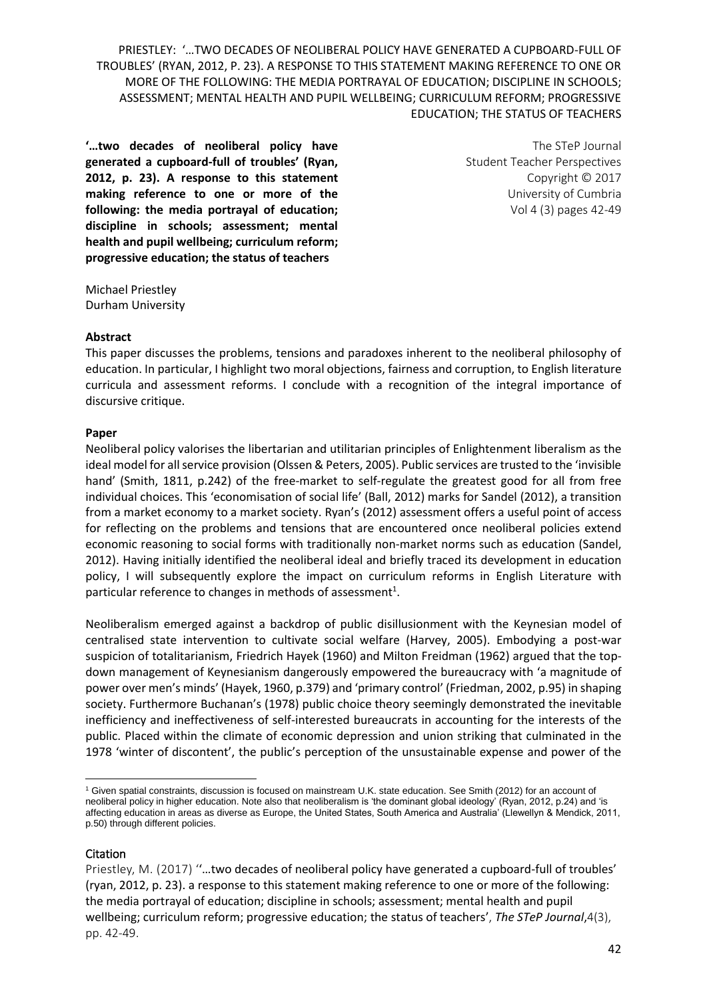**'…two decades of neoliberal policy have generated a cupboard-full of troubles' (Ryan, 2012, p. 23). A response to this statement making reference to one or more of the following: the media portrayal of education; discipline in schools; assessment; mental health and pupil wellbeing; curriculum reform; progressive education; the status of teachers**

The STeP Journal Student Teacher Perspectives Copyright © 2017 University of Cumbria Vol 4 (3) pages 42-49

Michael Priestley Durham University

## **Abstract**

This paper discusses the problems, tensions and paradoxes inherent to the neoliberal philosophy of education. In particular, I highlight two moral objections, fairness and corruption, to English literature curricula and assessment reforms. I conclude with a recognition of the integral importance of discursive critique.

## **Paper**

Neoliberal policy valorises the libertarian and utilitarian principles of Enlightenment liberalism as the ideal model for all service provision (Olssen & Peters, 2005). Public services are trusted to the 'invisible hand' (Smith, 1811, p.242) of the free-market to self-regulate the greatest good for all from free individual choices. This 'economisation of social life' (Ball, 2012) marks for Sandel (2012), a transition from a market economy to a market society. Ryan's (2012) assessment offers a useful point of access for reflecting on the problems and tensions that are encountered once neoliberal policies extend economic reasoning to social forms with traditionally non-market norms such as education (Sandel, 2012). Having initially identified the neoliberal ideal and briefly traced its development in education policy, I will subsequently explore the impact on curriculum reforms in English Literature with particular reference to changes in methods of assessment<sup>1</sup>.

Neoliberalism emerged against a backdrop of public disillusionment with the Keynesian model of centralised state intervention to cultivate social welfare (Harvey, 2005). Embodying a post-war suspicion of totalitarianism, Friedrich Hayek (1960) and Milton Freidman (1962) argued that the topdown management of Keynesianism dangerously empowered the bureaucracy with 'a magnitude of power over men's minds' (Hayek, 1960, p.379) and 'primary control' (Friedman, 2002, p.95) in shaping society. Furthermore Buchanan's (1978) public choice theory seemingly demonstrated the inevitable inefficiency and ineffectiveness of self-interested bureaucrats in accounting for the interests of the public. Placed within the climate of economic depression and union striking that culminated in the 1978 'winter of discontent', the public's perception of the unsustainable expense and power of the

## Citation

<sup>1</sup> <sup>1</sup> Given spatial constraints, discussion is focused on mainstream U.K. state education. See Smith (2012) for an account of neoliberal policy in higher education. Note also that neoliberalism is 'the dominant global ideology' (Ryan, 2012, p.24) and 'is affecting education in areas as diverse as Europe, the United States, South America and Australia' (Llewellyn & Mendick, 2011, p.50) through different policies.

Priestley, M. (2017) ''…two decades of neoliberal policy have generated a cupboard-full of troubles' (ryan, 2012, p. 23). a response to this statement making reference to one or more of the following: the media portrayal of education; discipline in schools; assessment; mental health and pupil wellbeing; curriculum reform; progressive education; the status of teachers', *The STeP Journal*,4(3), pp. 42-49.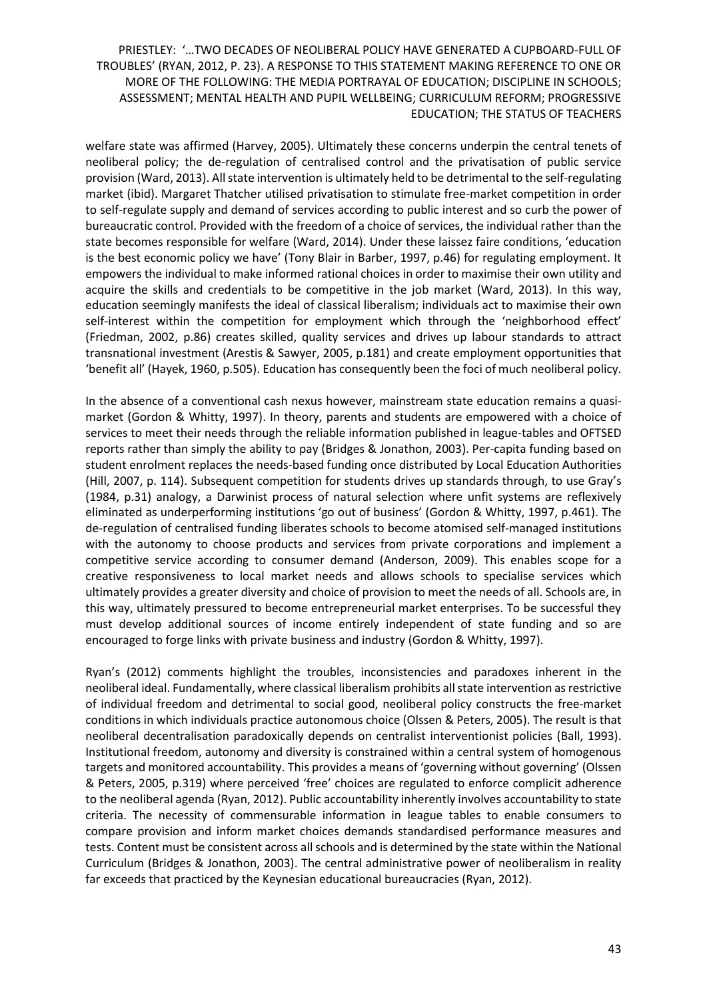welfare state was affirmed (Harvey, 2005). Ultimately these concerns underpin the central tenets of neoliberal policy; the de-regulation of centralised control and the privatisation of public service provision (Ward, 2013). All state intervention is ultimately held to be detrimental to the self-regulating market (ibid). Margaret Thatcher utilised privatisation to stimulate free-market competition in order to self-regulate supply and demand of services according to public interest and so curb the power of bureaucratic control. Provided with the freedom of a choice of services, the individual rather than the state becomes responsible for welfare (Ward, 2014). Under these laissez faire conditions, 'education is the best economic policy we have' (Tony Blair in Barber, 1997, p.46) for regulating employment. It empowers the individual to make informed rational choices in order to maximise their own utility and acquire the skills and credentials to be competitive in the job market (Ward, 2013). In this way, education seemingly manifests the ideal of classical liberalism; individuals act to maximise their own self-interest within the competition for employment which through the 'neighborhood effect' (Friedman, 2002, p.86) creates skilled, quality services and drives up labour standards to attract transnational investment (Arestis & Sawyer, 2005, p.181) and create employment opportunities that 'benefit all' (Hayek, 1960, p.505). Education has consequently been the foci of much neoliberal policy.

In the absence of a conventional cash nexus however, mainstream state education remains a quasimarket (Gordon & Whitty, 1997). In theory, parents and students are empowered with a choice of services to meet their needs through the reliable information published in league-tables and OFTSED reports rather than simply the ability to pay (Bridges & Jonathon, 2003). Per-capita funding based on student enrolment replaces the needs-based funding once distributed by Local Education Authorities (Hill, 2007, p. 114). Subsequent competition for students drives up standards through, to use Gray's (1984, p.31) analogy, a Darwinist process of natural selection where unfit systems are reflexively eliminated as underperforming institutions 'go out of business' (Gordon & Whitty, 1997, p.461). The de-regulation of centralised funding liberates schools to become atomised self-managed institutions with the autonomy to choose products and services from private corporations and implement a competitive service according to consumer demand (Anderson, 2009). This enables scope for a creative responsiveness to local market needs and allows schools to specialise services which ultimately provides a greater diversity and choice of provision to meet the needs of all. Schools are, in this way, ultimately pressured to become entrepreneurial market enterprises. To be successful they must develop additional sources of income entirely independent of state funding and so are encouraged to forge links with private business and industry (Gordon & Whitty, 1997).

Ryan's (2012) comments highlight the troubles, inconsistencies and paradoxes inherent in the neoliberal ideal. Fundamentally, where classical liberalism prohibits all state intervention as restrictive of individual freedom and detrimental to social good, neoliberal policy constructs the free-market conditions in which individuals practice autonomous choice (Olssen & Peters, 2005). The result is that neoliberal decentralisation paradoxically depends on centralist interventionist policies (Ball, 1993). Institutional freedom, autonomy and diversity is constrained within a central system of homogenous targets and monitored accountability. This provides a means of 'governing without governing' (Olssen & Peters, 2005, p.319) where perceived 'free' choices are regulated to enforce complicit adherence to the neoliberal agenda (Ryan, 2012). Public accountability inherently involves accountability to state criteria. The necessity of commensurable information in league tables to enable consumers to compare provision and inform market choices demands standardised performance measures and tests. Content must be consistent across all schools and is determined by the state within the National Curriculum (Bridges & Jonathon, 2003). The central administrative power of neoliberalism in reality far exceeds that practiced by the Keynesian educational bureaucracies (Ryan, 2012).

43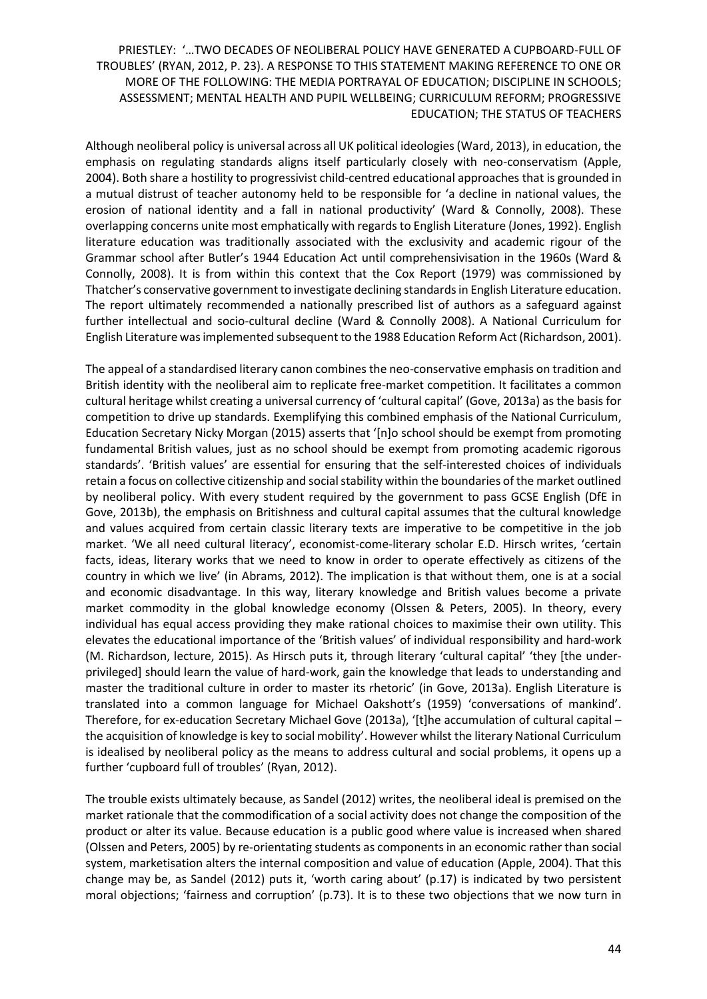Although neoliberal policy is universal across all UK political ideologies (Ward, 2013), in education, the emphasis on regulating standards aligns itself particularly closely with neo-conservatism (Apple, 2004). Both share a hostility to progressivist child-centred educational approaches that is grounded in a mutual distrust of teacher autonomy held to be responsible for 'a decline in national values, the erosion of national identity and a fall in national productivity' (Ward & Connolly, 2008). These overlapping concerns unite most emphatically with regards to English Literature (Jones, 1992). English literature education was traditionally associated with the exclusivity and academic rigour of the Grammar school after Butler's 1944 Education Act until comprehensivisation in the 1960s (Ward & Connolly, 2008). It is from within this context that the Cox Report (1979) was commissioned by Thatcher's conservative government to investigate declining standards in English Literature education. The report ultimately recommended a nationally prescribed list of authors as a safeguard against further intellectual and socio-cultural decline (Ward & Connolly 2008). A National Curriculum for English Literature was implemented subsequent to the 1988 Education Reform Act(Richardson, 2001).

The appeal of a standardised literary canon combines the neo-conservative emphasis on tradition and British identity with the neoliberal aim to replicate free-market competition. It facilitates a common cultural heritage whilst creating a universal currency of 'cultural capital' (Gove, 2013a) as the basis for competition to drive up standards. Exemplifying this combined emphasis of the National Curriculum, Education Secretary Nicky Morgan (2015) asserts that '[n]o school should be exempt from promoting fundamental British values, just as no school should be exempt from promoting academic rigorous standards'. 'British values' are essential for ensuring that the self-interested choices of individuals retain a focus on collective citizenship and social stability within the boundaries of the market outlined by neoliberal policy. With every student required by the government to pass GCSE English (DfE in Gove, 2013b), the emphasis on Britishness and cultural capital assumes that the cultural knowledge and values acquired from certain classic literary texts are imperative to be competitive in the job market. 'We all need cultural literacy', economist-come-literary scholar E.D. Hirsch writes, 'certain facts, ideas, literary works that we need to know in order to operate effectively as citizens of the country in which we live' (in Abrams, 2012). The implication is that without them, one is at a social and economic disadvantage. In this way, literary knowledge and British values become a private market commodity in the global knowledge economy (Olssen & Peters, 2005). In theory, every individual has equal access providing they make rational choices to maximise their own utility. This elevates the educational importance of the 'British values' of individual responsibility and hard-work (M. Richardson, lecture, 2015). As Hirsch puts it, through literary 'cultural capital' 'they [the underprivileged] should learn the value of hard-work, gain the knowledge that leads to understanding and master the traditional culture in order to master its rhetoric' (in Gove, 2013a). English Literature is translated into a common language for Michael Oakshott's (1959) 'conversations of mankind'. Therefore, for ex-education Secretary Michael Gove (2013a), '[t]he accumulation of cultural capital – the acquisition of knowledge is key to social mobility'. However whilst the literary National Curriculum is idealised by neoliberal policy as the means to address cultural and social problems, it opens up a further 'cupboard full of troubles' (Ryan, 2012).

The trouble exists ultimately because, as Sandel (2012) writes, the neoliberal ideal is premised on the market rationale that the commodification of a social activity does not change the composition of the product or alter its value. Because education is a public good where value is increased when shared (Olssen and Peters, 2005) by re-orientating students as components in an economic rather than social system, marketisation alters the internal composition and value of education (Apple, 2004). That this change may be, as Sandel (2012) puts it, 'worth caring about' (p.17) is indicated by two persistent moral objections; 'fairness and corruption' (p.73). It is to these two objections that we now turn in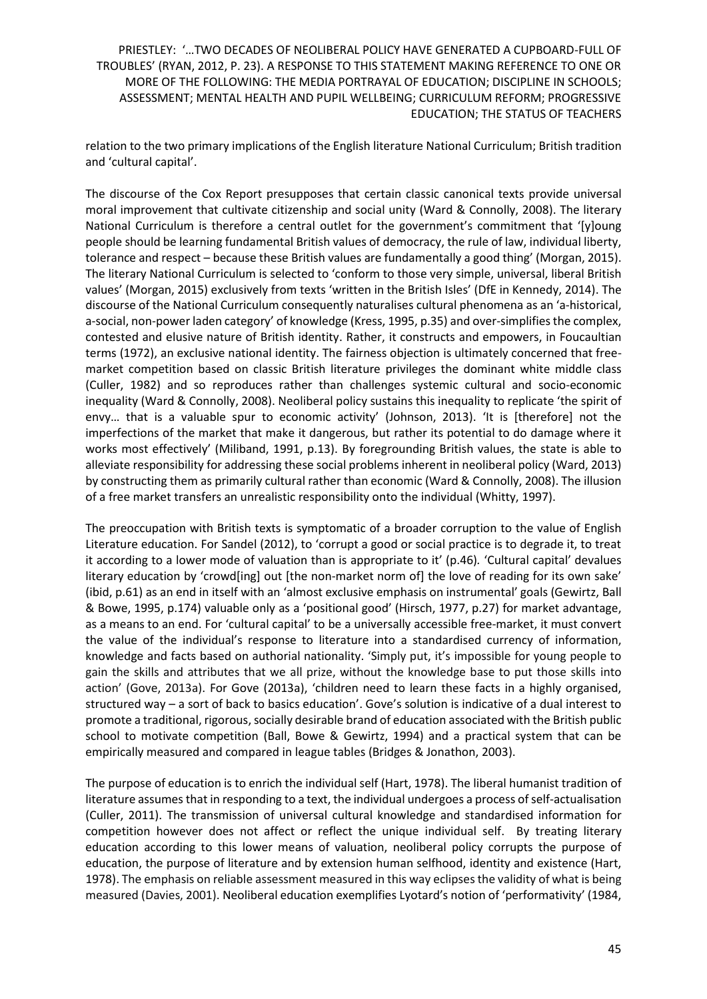relation to the two primary implications of the English literature National Curriculum; British tradition and 'cultural capital'.

The discourse of the Cox Report presupposes that certain classic canonical texts provide universal moral improvement that cultivate citizenship and social unity (Ward & Connolly, 2008). The literary National Curriculum is therefore a central outlet for the government's commitment that '[y]oung people should be learning fundamental British values of democracy, the rule of law, individual liberty, tolerance and respect – because these British values are fundamentally a good thing' (Morgan, 2015). The literary National Curriculum is selected to 'conform to those very simple, universal, liberal British values' (Morgan, 2015) exclusively from texts 'written in the British Isles' (DfE in Kennedy, 2014). The discourse of the National Curriculum consequently naturalises cultural phenomena as an 'a-historical, a-social, non-power laden category' of knowledge (Kress, 1995, p.35) and over-simplifies the complex, contested and elusive nature of British identity. Rather, it constructs and empowers, in Foucaultian terms (1972), an exclusive national identity. The fairness objection is ultimately concerned that freemarket competition based on classic British literature privileges the dominant white middle class (Culler, 1982) and so reproduces rather than challenges systemic cultural and socio-economic inequality (Ward & Connolly, 2008). Neoliberal policy sustains this inequality to replicate 'the spirit of envy… that is a valuable spur to economic activity' (Johnson, 2013). 'It is [therefore] not the imperfections of the market that make it dangerous, but rather its potential to do damage where it works most effectively' (Miliband, 1991, p.13). By foregrounding British values, the state is able to alleviate responsibility for addressing these social problems inherent in neoliberal policy (Ward, 2013) by constructing them as primarily cultural rather than economic (Ward & Connolly, 2008). The illusion of a free market transfers an unrealistic responsibility onto the individual (Whitty, 1997).

The preoccupation with British texts is symptomatic of a broader corruption to the value of English Literature education. For Sandel (2012), to 'corrupt a good or social practice is to degrade it, to treat it according to a lower mode of valuation than is appropriate to it' (p.46)*.* 'Cultural capital' devalues literary education by 'crowd[ing] out [the non-market norm of] the love of reading for its own sake' (ibid, p.61) as an end in itself with an 'almost exclusive emphasis on instrumental' goals (Gewirtz, Ball & Bowe, 1995, p.174) valuable only as a 'positional good' (Hirsch, 1977, p.27) for market advantage, as a means to an end. For 'cultural capital' to be a universally accessible free-market, it must convert the value of the individual's response to literature into a standardised currency of information, knowledge and facts based on authorial nationality. 'Simply put, it's impossible for young people to gain the skills and attributes that we all prize, without the knowledge base to put those skills into action' (Gove, 2013a). For Gove (2013a), 'children need to learn these facts in a highly organised, structured way – a sort of back to basics education'. Gove's solution is indicative of a dual interest to promote a traditional, rigorous, socially desirable brand of education associated with the British public school to motivate competition (Ball, Bowe & Gewirtz, 1994) and a practical system that can be empirically measured and compared in league tables (Bridges & Jonathon, 2003).

The purpose of education is to enrich the individual self (Hart, 1978). The liberal humanist tradition of literature assumes that in responding to a text, the individual undergoes a process of self-actualisation (Culler, 2011). The transmission of universal cultural knowledge and standardised information for competition however does not affect or reflect the unique individual self. By treating literary education according to this lower means of valuation, neoliberal policy corrupts the purpose of education, the purpose of literature and by extension human selfhood, identity and existence (Hart, 1978). The emphasis on reliable assessment measured in this way eclipsesthe validity of what is being measured (Davies, 2001). Neoliberal education exemplifies Lyotard's notion of 'performativity' (1984,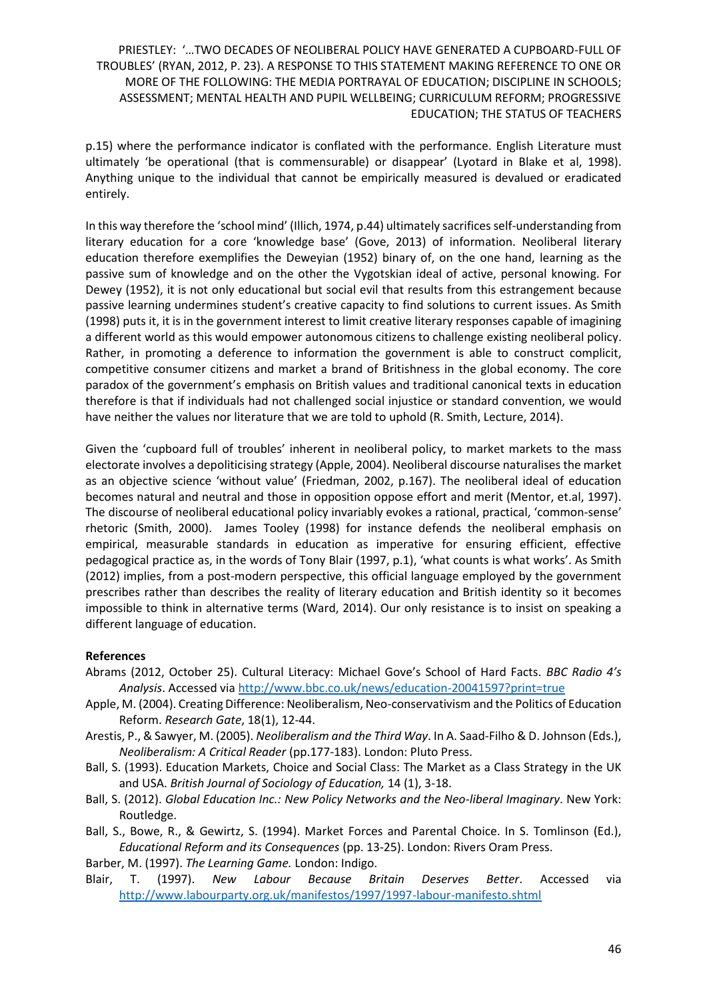p.15) where the performance indicator is conflated with the performance. English Literature must ultimately 'be operational (that is commensurable) or disappear' (Lyotard in Blake et al, 1998). Anything unique to the individual that cannot be empirically measured is devalued or eradicated entirely.

In this way therefore the 'school mind' (Illich, 1974, p.44) ultimately sacrifices self-understanding from literary education for a core 'knowledge base' (Gove, 2013) of information. Neoliberal literary education therefore exemplifies the Deweyian (1952) binary of, on the one hand, learning as the passive sum of knowledge and on the other the Vygotskian ideal of active, personal knowing. For Dewey (1952), it is not only educational but social evil that results from this estrangement because passive learning undermines student's creative capacity to find solutions to current issues. As Smith (1998) puts it, it is in the government interest to limit creative literary responses capable of imagining a different world as this would empower autonomous citizens to challenge existing neoliberal policy. Rather, in promoting a deference to information the government is able to construct complicit, competitive consumer citizens and market a brand of Britishness in the global economy. The core paradox of the government's emphasis on British values and traditional canonical texts in education therefore is that if individuals had not challenged social injustice or standard convention, we would have neither the values nor literature that we are told to uphold (R. Smith, Lecture, 2014).

Given the 'cupboard full of troubles' inherent in neoliberal policy, to market markets to the mass electorate involves a depoliticising strategy (Apple, 2004). Neoliberal discourse naturalises the market as an objective science 'without value' (Friedman, 2002, p.167). The neoliberal ideal of education becomes natural and neutral and those in opposition oppose effort and merit (Mentor, et.al, 1997). The discourse of neoliberal educational policy invariably evokes a rational, practical, 'common-sense' rhetoric (Smith, 2000). James Tooley (1998) for instance defends the neoliberal emphasis on empirical, measurable standards in education as imperative for ensuring efficient, effective pedagogical practice as, in the words of Tony Blair (1997, p.1), 'what counts is what works'. As Smith (2012) implies, from a post-modern perspective, this official language employed by the government prescribes rather than describes the reality of literary education and British identity so it becomes impossible to think in alternative terms (Ward, 2014). Our only resistance is to insist on speaking a different language of education.

## **References**

- Abrams (2012, October 25). Cultural Literacy: Michael Gove's School of Hard Facts. *BBC Radio 4's Analysis*. Accessed vi[a http://www.bbc.co.uk/news/education-20041597?print=true](http://www.bbc.co.uk/news/education-20041597?print=true)
- Apple, M. (2004). Creating Difference: Neoliberalism, Neo-conservativism and the Politics of Education Reform. *Research Gate*, 18(1), 12-44.
- Arestis, P., & Sawyer, M. (2005). *Neoliberalism and the Third Way*. In A. Saad-Filho & D. Johnson (Eds.), *Neoliberalism: A Critical Reader* (pp.177-183). London: Pluto Press.
- Ball, S. (1993). Education Markets, Choice and Social Class: The Market as a Class Strategy in the UK and USA. *British Journal of Sociology of Education,* 14 (1), 3-18.
- Ball, S. (2012). *Global Education Inc.: New Policy Networks and the Neo-liberal Imaginary*. New York: Routledge.
- Ball, S., Bowe, R., & Gewirtz, S. (1994). Market Forces and Parental Choice. In S. Tomlinson (Ed.), *Educational Reform and its Consequences* (pp. 13-25). London: Rivers Oram Press.
- Barber, M. (1997). *The Learning Game.* London: Indigo.
- Blair, T. (1997). *New Labour Because Britain Deserves Better*. Accessed via <http://www.labourparty.org.uk/manifestos/1997/1997-labour-manifesto.shtml>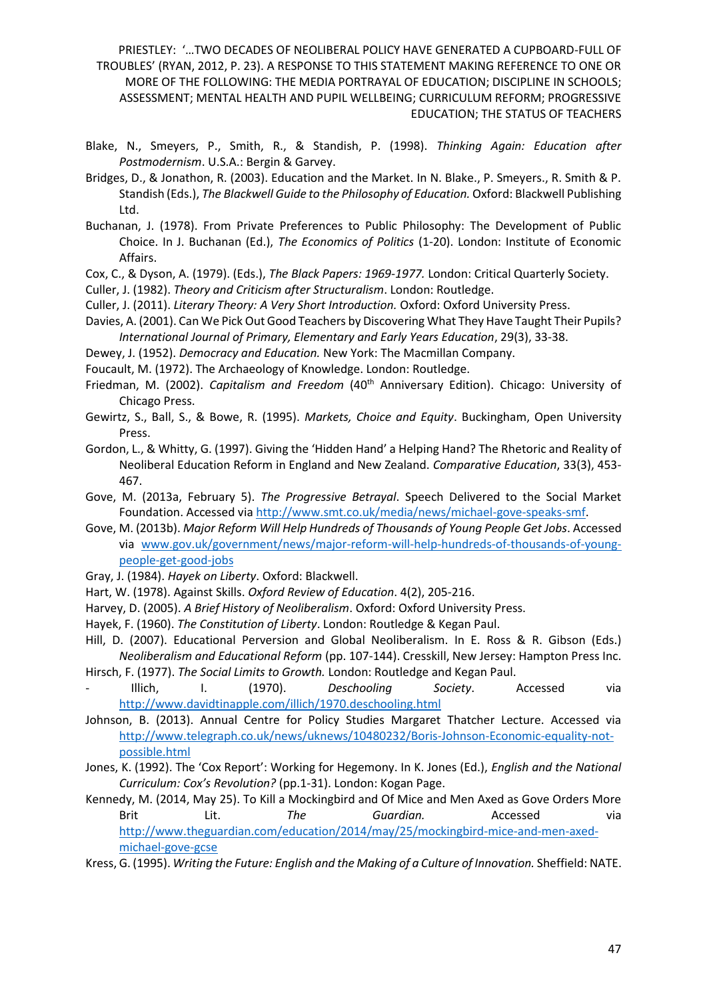- Blake, N., Smeyers, P., Smith, R., & Standish, P. (1998). *Thinking Again: Education after Postmodernism*. U.S.A.: Bergin & Garvey.
- Bridges, D., & Jonathon, R. (2003). Education and the Market. In N. Blake., P. Smeyers., R. Smith & P. Standish (Eds.), *The Blackwell Guide to the Philosophy of Education.* Oxford: Blackwell Publishing Ltd.
- Buchanan, J. (1978). From Private Preferences to Public Philosophy: The Development of Public Choice. In J. Buchanan (Ed.), *The Economics of Politics* (1-20). London: Institute of Economic Affairs.
- Cox, C., & Dyson, A. (1979). (Eds.), *The Black Papers: 1969-1977.* London: Critical Quarterly Society.
- Culler, J. (1982). *Theory and Criticism after Structuralism*. London: Routledge.
- Culler, J. (2011). *Literary Theory: A Very Short Introduction.* Oxford: Oxford University Press.
- Davies, A. (2001). Can We Pick Out Good Teachers by Discovering What They Have Taught Their Pupils? *International Journal of Primary, Elementary and Early Years Education*, 29(3), 33-38.
- Dewey, J. (1952). *Democracy and Education.* New York: The Macmillan Company.
- Foucault, M. (1972). The Archaeology of Knowledge. London: Routledge.
- Friedman, M. (2002). *Capitalism and Freedom* (40<sup>th</sup> Anniversary Edition). Chicago: University of Chicago Press.
- Gewirtz, S., Ball, S., & Bowe, R. (1995). *Markets, Choice and Equity*. Buckingham, Open University Press.
- Gordon, L., & Whitty, G. (1997). Giving the 'Hidden Hand' a Helping Hand? The Rhetoric and Reality of Neoliberal Education Reform in England and New Zealand. *Comparative Education*, 33(3), 453- 467.
- Gove, M. (2013a, February 5). *The Progressive Betrayal*. Speech Delivered to the Social Market Foundation. Accessed vi[a http://www.smt.co.uk/media/news/michael-gove-speaks-smf.](http://www.smt.co.uk/media/news/michael-gove-speaks-smf)
- Gove, M. (2013b). *Major Reform Will Help Hundreds of Thousands of Young People Get Jobs*. Accessed via [www.gov.uk/government/news/major-reform-will-help-hundreds-of-thousands-of-young](http://www.gov.uk/government/news/major-reform-will-help-hundreds-of-thousands-of-young-people-get-good-jobs)[people-get-good-jobs](http://www.gov.uk/government/news/major-reform-will-help-hundreds-of-thousands-of-young-people-get-good-jobs)
- Gray, J. (1984). *Hayek on Liberty*. Oxford: Blackwell.
- Hart, W. (1978). Against Skills. *Oxford Review of Education*. 4(2), 205-216.
- Harvey, D. (2005). *A Brief History of Neoliberalism*. Oxford: Oxford University Press.
- Hayek, F. (1960). *The Constitution of Liberty*. London: Routledge & Kegan Paul.
- Hill, D. (2007). Educational Perversion and Global Neoliberalism. In E. Ross & R. Gibson (Eds.) *Neoliberalism and Educational Reform* (pp. 107-144). Cresskill, New Jersey: Hampton Press Inc.
- Hirsch, F. (1977). *The Social Limits to Growth.* London: Routledge and Kegan Paul. Illich, I. (1970). *Deschooling Society*. Accessed via
- <http://www.davidtinapple.com/illich/1970.deschooling.html> Johnson, B. (2013). Annual Centre for Policy Studies Margaret Thatcher Lecture. Accessed via
- [http://www.telegraph.co.uk/news/uknews/10480232/Boris-Johnson-Economic-equality-not](http://www.telegraph.co.uk/news/uknews/10480232/Boris-Johnson-Economic-equality-not-possible.html)[possible.html](http://www.telegraph.co.uk/news/uknews/10480232/Boris-Johnson-Economic-equality-not-possible.html)
- Jones, K. (1992). The 'Cox Report': Working for Hegemony. In K. Jones (Ed.), *English and the National Curriculum: Cox's Revolution?* (pp.1-31). London: Kogan Page.
- Kennedy, M. (2014, May 25). To Kill a Mockingbird and Of Mice and Men Axed as Gove Orders More Brit Lit. *The Guardian.* Accessed via [http://www.theguardian.com/education/2014/may/25/mockingbird-mice-and-men-axed](http://www.theguardian.com/education/2014/may/25/mockingbird-mice-and-men-axed-michael-gove-gcse)[michael-gove-gcse](http://www.theguardian.com/education/2014/may/25/mockingbird-mice-and-men-axed-michael-gove-gcse)

Kress, G. (1995). *Writing the Future: English and the Making of a Culture of Innovation.* Sheffield: NATE.